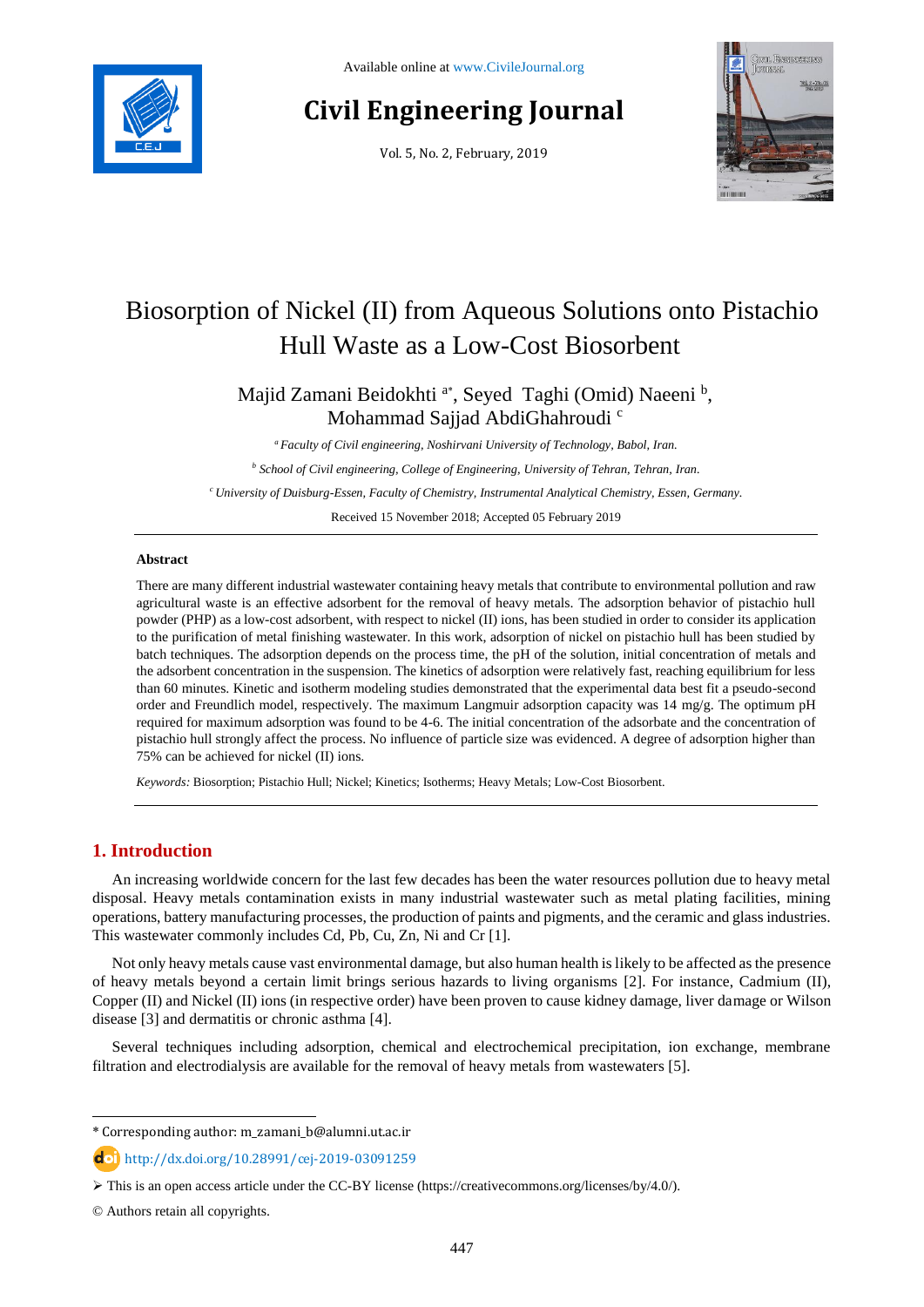

# **Civil Engineering Journal**

Vol. 5, No. 2, February, 2019



# Biosorption of Nickel (II) from Aqueous Solutions onto Pistachio Hull Waste as a Low-Cost Biosorbent

Majid Zamani Beidokhti<sup>a\*</sup>, Seyed Taghi (Omid) Naeeni<sup>b</sup>, Mohammad Sajjad AbdiGhahroudi<sup>c</sup>

*<sup>a</sup> Faculty of Civil engineering, Noshirvani University of Technology, Babol, Iran. <sup>b</sup> School of Civil engineering, College of Engineering, University of Tehran, Tehran, Iran. <sup>c</sup>University of Duisburg-Essen, Faculty of Chemistry, Instrumental Analytical Chemistry, Essen, Germany.* Received 15 November 2018; Accepted 05 February 2019

#### **Abstract**

There are many different industrial wastewater containing heavy metals that contribute to environmental pollution and raw agricultural waste is an effective adsorbent for the removal of heavy metals. The adsorption behavior of pistachio hull powder (PHP) as a low-cost adsorbent, with respect to nickel (II) ions, has been studied in order to consider its application to the purification of metal finishing wastewater. In this work, adsorption of nickel on pistachio hull has been studied by batch techniques. The adsorption depends on the process time, the pH of the solution, initial concentration of metals and the adsorbent concentration in the suspension. The kinetics of adsorption were relatively fast, reaching equilibrium for less than 60 minutes. Kinetic and isotherm modeling studies demonstrated that the experimental data best fit a pseudo-second order and Freundlich model, respectively. The maximum Langmuir adsorption capacity was 14 mg/g. The optimum pH required for maximum adsorption was found to be 4-6. The initial concentration of the adsorbate and the concentration of pistachio hull strongly affect the process. No influence of particle size was evidenced. A degree of adsorption higher than 75% can be achieved for nickel (II) ions.

*Keywords:* Biosorption; Pistachio Hull; Nickel; Kinetics; Isotherms; Heavy Metals; Low-Cost Biosorbent.

# **1. Introduction**

An increasing worldwide concern for the last few decades has been the water resources pollution due to heavy metal disposal. Heavy metals contamination exists in many industrial wastewater such as metal plating facilities, mining operations, battery manufacturing processes, the production of paints and pigments, and the ceramic and glass industries. This wastewater commonly includes Cd, Pb, Cu, Zn, Ni and Cr [1].

Not only heavy metals cause vast environmental damage, but also human health is likely to be affected as the presence of heavy metals beyond a certain limit brings serious hazards to living organisms [2]. For instance, Cadmium (II), Copper (II) and Nickel (II) ions (in respective order) have been proven to cause kidney damage, liver damage or Wilson disease [3] and dermatitis or chronic asthma [4].

Several techniques including adsorption, chemical and electrochemical precipitation, ion exchange, membrane filtration and electrodialysis are available for the removal of heavy metals from wastewaters [5].

l

<sup>\*</sup> Corresponding author: m\_zamani\_b@alumni.ut.ac.ir

http://dx.doi.org/10.28991/cej-2019-03091259

 $\triangleright$  This is an open access article under the CC-BY license [\(https://creativecommons.org/licenses/by/4.0/\)](https://creativecommons.org/licenses/by/4.0/).

<sup>©</sup> Authors retain all copyrights.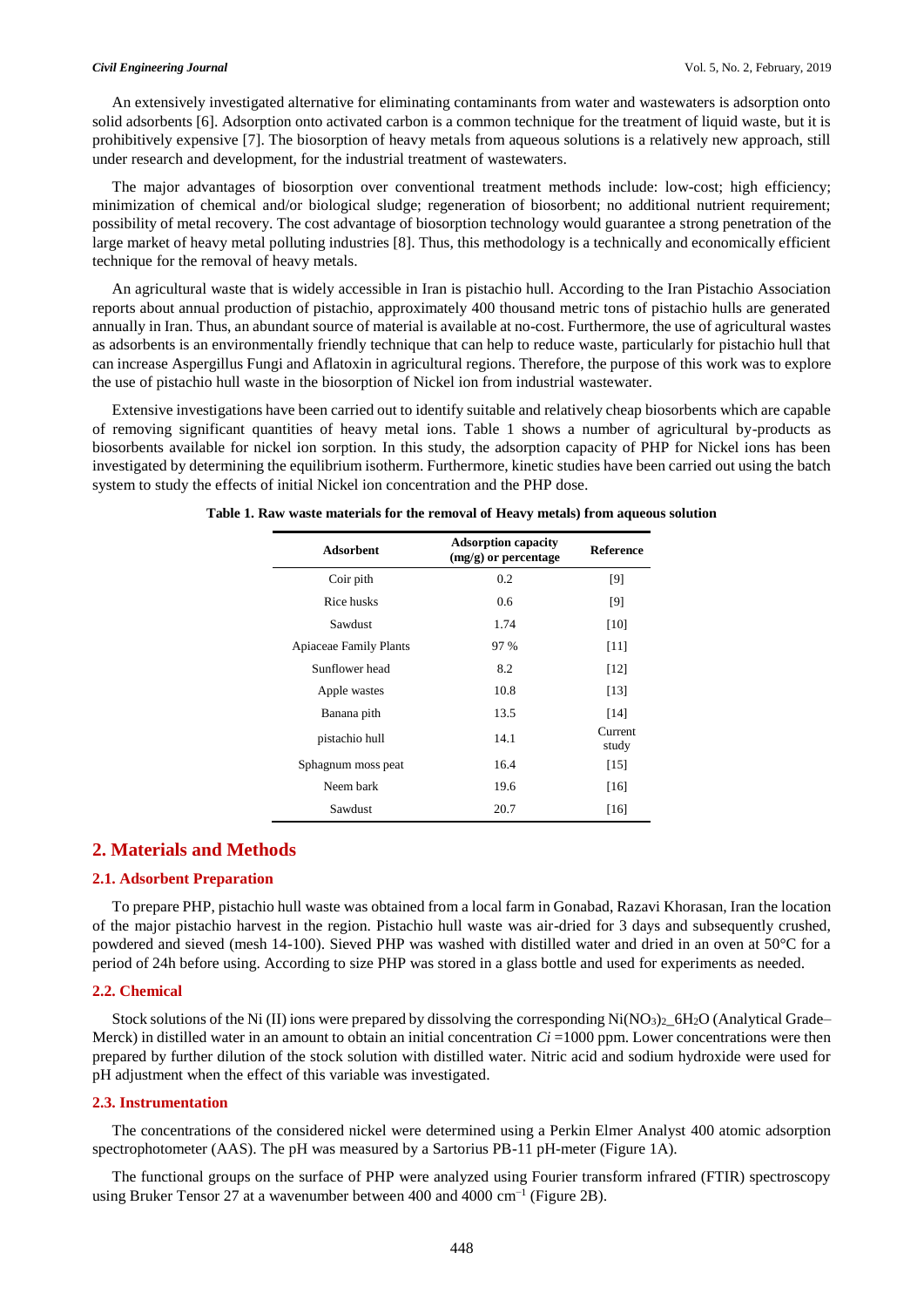An extensively investigated alternative for eliminating contaminants from water and wastewaters is adsorption onto solid adsorbents [6]. Adsorption onto activated carbon is a common technique for the treatment of liquid waste, but it is prohibitively expensive [7]. The biosorption of heavy metals from aqueous solutions is a relatively new approach, still under research and development, for the industrial treatment of wastewaters.

The major advantages of biosorption over conventional treatment methods include: low-cost; high efficiency; minimization of chemical and/or biological sludge; regeneration of biosorbent; no additional nutrient requirement; possibility of metal recovery. The cost advantage of biosorption technology would guarantee a strong penetration of the large market of heavy metal polluting industries [8]. Thus, this methodology is a technically and economically efficient technique for the removal of heavy metals.

An agricultural waste that is widely accessible in Iran is pistachio hull. According to the Iran Pistachio Association reports about annual production of pistachio, approximately 400 thousand metric tons of pistachio hulls are generated annually in Iran. Thus, an abundant source of material is available at no-cost. Furthermore, the use of agricultural wastes as adsorbents is an environmentally friendly technique that can help to reduce waste, particularly for pistachio hull that can increase Aspergillus Fungi and Aflatoxin in agricultural regions. Therefore, the purpose of this work was to explore the use of pistachio hull waste in the biosorption of Nickel ion from industrial wastewater.

Extensive investigations have been carried out to identify suitable and relatively cheap biosorbents which are capable of removing significant quantities of heavy metal ions. Table 1 shows a number of agricultural by-products as biosorbents available for nickel ion sorption. In this study, the adsorption capacity of PHP for Nickel ions has been investigated by determining the equilibrium isotherm. Furthermore, kinetic studies have been carried out using the batch system to study the effects of initial Nickel ion concentration and the PHP dose.

| <b>Adsorbent</b>              | <b>Adsorption capacity</b><br>$(mg/g)$ or percentage | <b>Reference</b> |
|-------------------------------|------------------------------------------------------|------------------|
| Coir pith                     | 0.2                                                  | [9]              |
| Rice husks                    | 0.6                                                  | [9]              |
| Sawdust                       | 1.74                                                 | $[10]$           |
| <b>Apiaceae Family Plants</b> | 97 %                                                 | $[11]$           |
| Sunflower head                | 8.2                                                  | $[12]$           |
| Apple wastes                  | 10.8                                                 | [13]             |
| Banana pith                   | 13.5                                                 | [14]             |
| pistachio hull                | 14.1                                                 | Current<br>study |
| Sphagnum moss peat            | 16.4                                                 | [15]             |
| Neem bark                     | 19.6                                                 | $[16]$           |
| Sawdust                       | 20.7                                                 | $[16]$           |

**Table 1. Raw waste materials for the removal of Heavy metals) from aqueous solution**

# **2. Materials and Methods**

# **2.1. Adsorbent Preparation**

To prepare PHP, pistachio hull waste was obtained from a local farm in Gonabad, Razavi Khorasan, Iran the location of the major pistachio harvest in the region. Pistachio hull waste was air-dried for 3 days and subsequently crushed, powdered and sieved (mesh 14-100). Sieved PHP was washed with distilled water and dried in an oven at 50°C for a period of 24h before using. According to size PHP was stored in a glass bottle and used for experiments as needed.

# **2.2. Chemical**

Stock solutions of the Ni (II) ions were prepared by dissolving the corresponding  $Ni(NO<sub>3</sub>)<sub>2</sub>6H<sub>2</sub>O$  (Analytical Grade– Merck) in distilled water in an amount to obtain an initial concentration  $Ci = 1000$  ppm. Lower concentrations were then prepared by further dilution of the stock solution with distilled water. Nitric acid and sodium hydroxide were used for pH adjustment when the effect of this variable was investigated.

### **2.3. Instrumentation**

The concentrations of the considered nickel were determined using a Perkin Elmer Analyst 400 atomic adsorption spectrophotometer (AAS). The pH was measured by a Sartorius PB-11 pH-meter (Figure 1A).

The functional groups on the surface of PHP were analyzed using Fourier transform infrared (FTIR) spectroscopy using Bruker Tensor 27 at a wavenumber between 400 and 4000 cm<sup>-1</sup> (Figure 2B).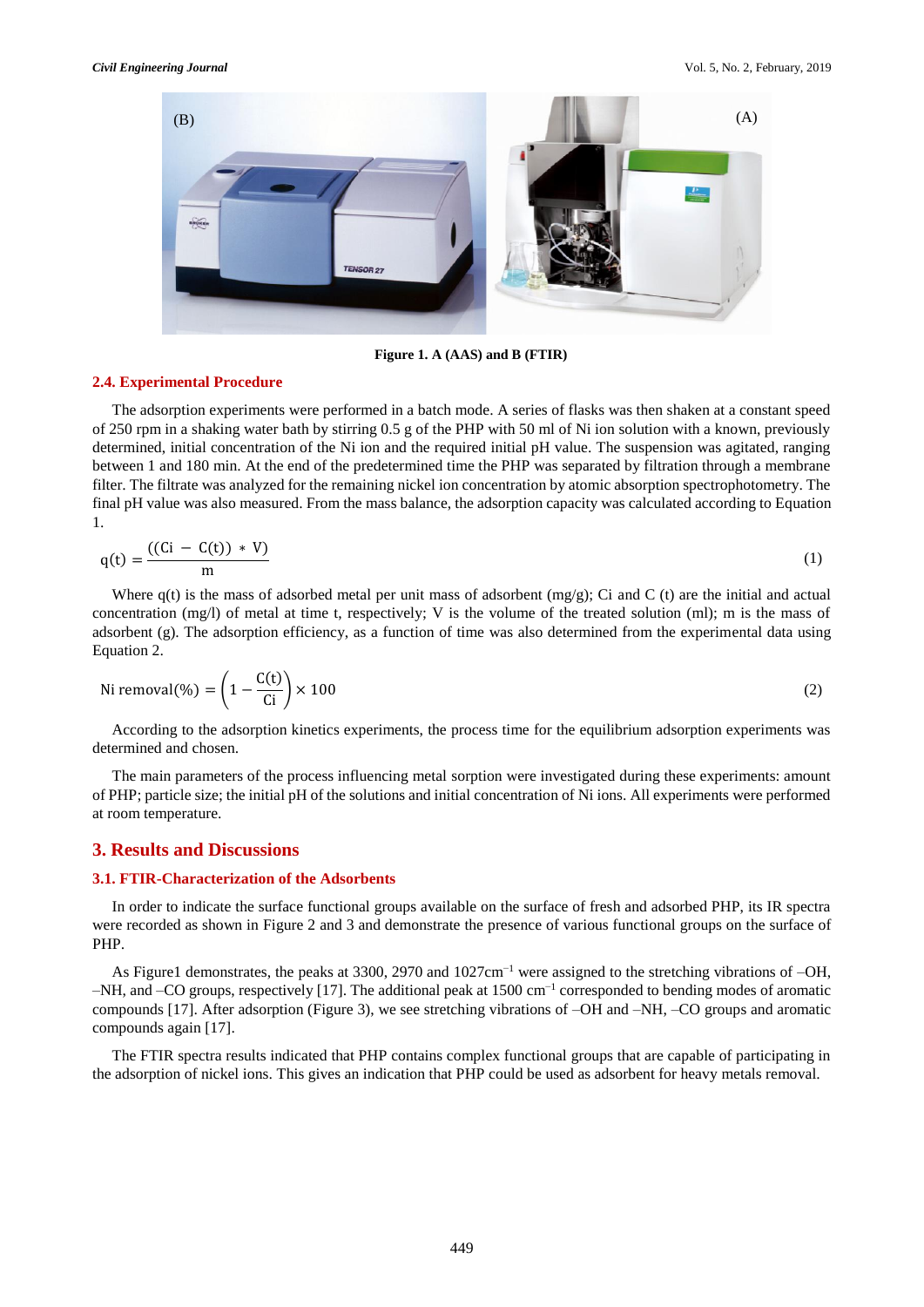

**Figure 1. A (AAS) and B (FTIR)**

#### **2.4. Experimental Procedure**

The adsorption experiments were performed in a batch mode. A series of flasks was then shaken at a constant speed of 250 rpm in a shaking water bath by stirring 0.5 g of the PHP with 50 ml of Ni ion solution with a known, previously determined, initial concentration of the Ni ion and the required initial pH value. The suspension was agitated, ranging between 1 and 180 min. At the end of the predetermined time the PHP was separated by filtration through a membrane filter. The filtrate was analyzed for the remaining nickel ion concentration by atomic absorption spectrophotometry. The final pH value was also measured. From the mass balance, the adsorption capacity was calculated according to Equation 1.

$$
q(t) = \frac{((Ci - C(t)) * V)}{m}
$$
 (1)

Where  $q(t)$  is the mass of adsorbed metal per unit mass of adsorbent  $(mg/g)$ ; Ci and C (t) are the initial and actual concentration (mg/l) of metal at time t, respectively; V is the volume of the treated solution (ml); m is the mass of adsorbent (g). The adsorption efficiency, as a function of time was also determined from the experimental data using Equation 2.

$$
\text{Ni removal}(\%) = \left(1 - \frac{\text{C(t)}}{\text{Ci}}\right) \times 100\tag{2}
$$

According to the adsorption kinetics experiments, the process time for the equilibrium adsorption experiments was determined and chosen.

The main parameters of the process influencing metal sorption were investigated during these experiments: amount of PHP; particle size; the initial pH of the solutions and initial concentration of Ni ions. All experiments were performed at room temperature.

# **3. Results and Discussions**

#### **3.1. FTIR-Characterization of the Adsorbents**

In order to indicate the surface functional groups available on the surface of fresh and adsorbed PHP, its IR spectra were recorded as shown in Figure 2 and 3 and demonstrate the presence of various functional groups on the surface of PHP.

As Figure1 demonstrates, the peaks at 3300, 2970 and 1027cm−1 were assigned to the stretching vibrations of –OH, –NH, and –CO groups, respectively [17]. The additional peak at 1500 cm−1 corresponded to bending modes of aromatic compounds [17]. After adsorption (Figure 3), we see stretching vibrations of –OH and –NH, –CO groups and aromatic compounds again [17].

The FTIR spectra results indicated that PHP contains complex functional groups that are capable of participating in the adsorption of nickel ions. This gives an indication that PHP could be used as adsorbent for heavy metals removal.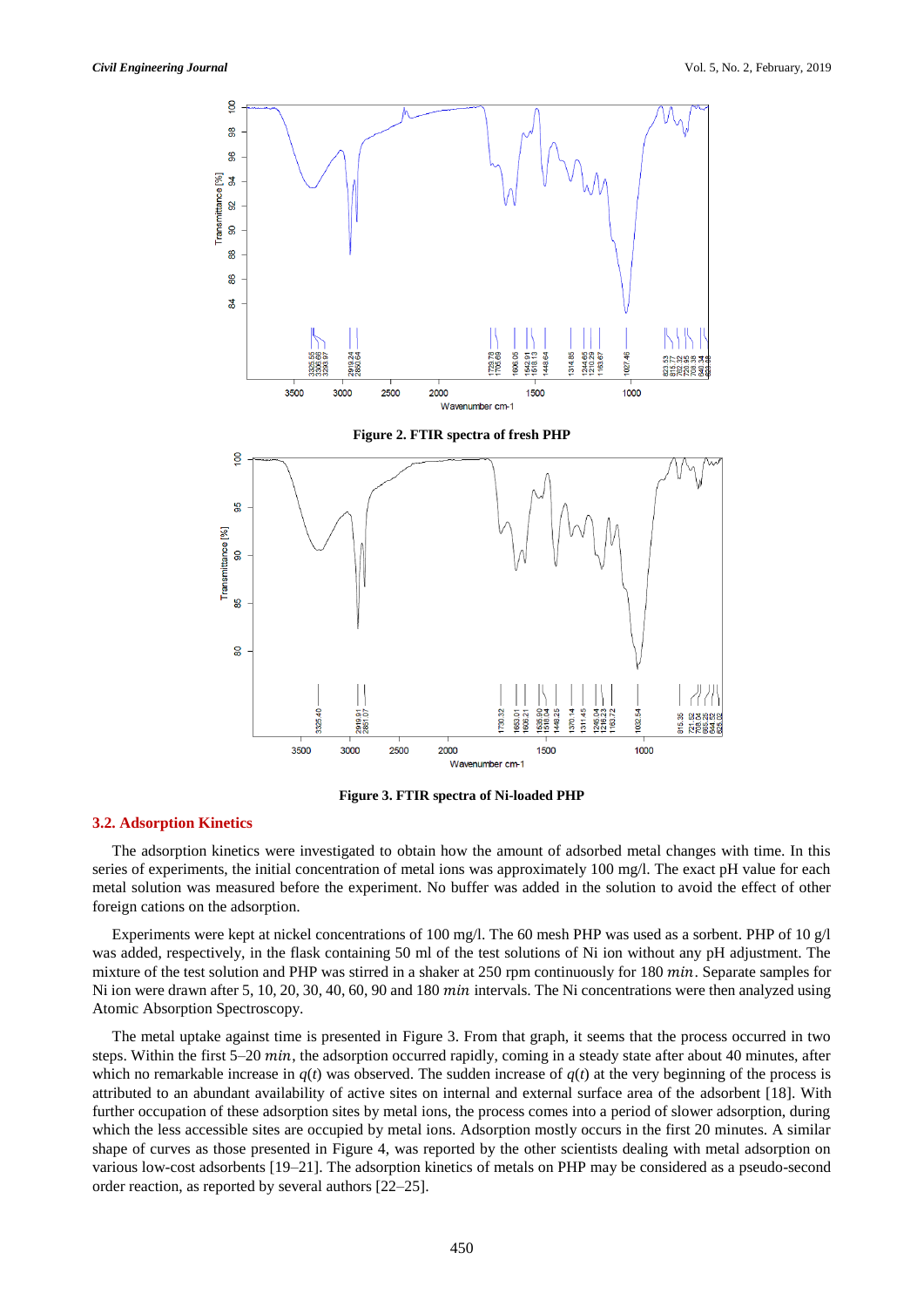

**Figure 3. FTIR spectra of Ni-loaded PHP**

#### **3.2. Adsorption Kinetics**

The adsorption kinetics were investigated to obtain how the amount of adsorbed metal changes with time. In this series of experiments, the initial concentration of metal ions was approximately 100 mg/l. The exact pH value for each metal solution was measured before the experiment. No buffer was added in the solution to avoid the effect of other foreign cations on the adsorption.

Experiments were kept at nickel concentrations of 100 mg/l. The 60 mesh PHP was used as a sorbent. PHP of 10 g/l was added, respectively, in the flask containing 50 ml of the test solutions of Ni ion without any pH adjustment. The mixture of the test solution and PHP was stirred in a shaker at  $250$  rpm continuously for  $180$   $min$ . Separate samples for Ni ion were drawn after 5, 10, 20, 30, 40, 60, 90 and 180 min intervals. The Ni concentrations were then analyzed using Atomic Absorption Spectroscopy.

The metal uptake against time is presented in Figure 3. From that graph, it seems that the process occurred in two steps. Within the first 5–20 min, the adsorption occurred rapidly, coming in a steady state after about 40 minutes, after which no remarkable increase in  $q(t)$  was observed. The sudden increase of  $q(t)$  at the very beginning of the process is attributed to an abundant availability of active sites on internal and external surface area of the adsorbent [18]. With further occupation of these adsorption sites by metal ions, the process comes into a period of slower adsorption, during which the less accessible sites are occupied by metal ions. Adsorption mostly occurs in the first 20 minutes. A similar shape of curves as those presented in Figure 4, was reported by the other scientists dealing with metal adsorption on various low-cost adsorbents [19–21]. The adsorption kinetics of metals on PHP may be considered as a pseudo-second order reaction, as reported by several authors [22–25].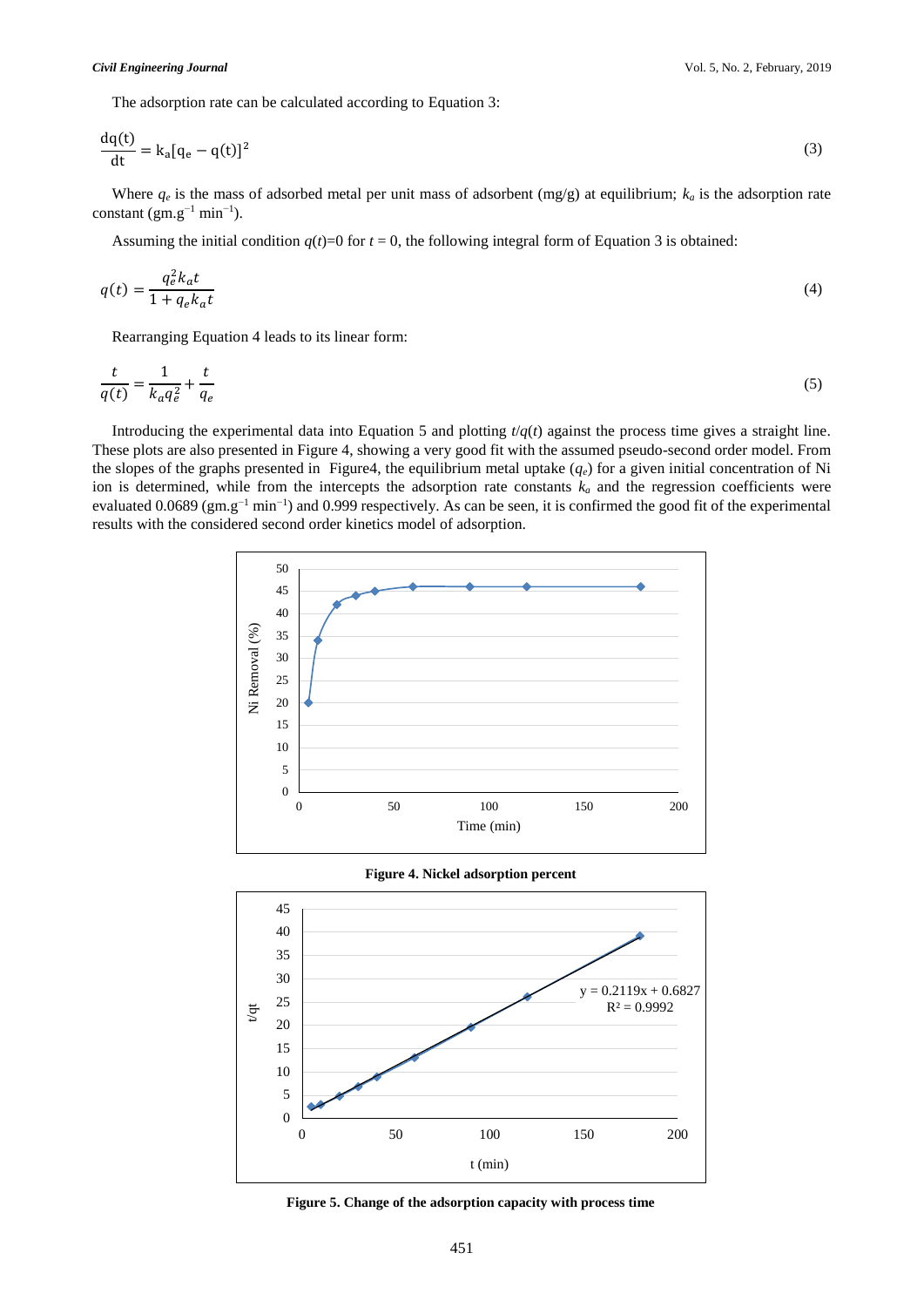The adsorption rate can be calculated according to Equation 3:

$$
\frac{dq(t)}{dt} = k_a[q_e - q(t)]^2
$$
\n(3)

Where  $q_e$  is the mass of adsorbed metal per unit mass of adsorbent (mg/g) at equilibrium;  $k_a$  is the adsorption rate constant  $(gm.g^{-1}min^{-1})$ .

Assuming the initial condition  $q(t)=0$  for  $t=0$ , the following integral form of Equation 3 is obtained:

$$
q(t) = \frac{q_e^2 k_a t}{1 + q_e k_a t} \tag{4}
$$

Rearranging Equation 4 leads to its linear form:

$$
\frac{t}{q(t)} = \frac{1}{k_a q_e^2} + \frac{t}{q_e} \tag{5}
$$

Introducing the experimental data into Equation 5 and plotting  $t/q(t)$  against the process time gives a straight line. These plots are also presented in Figure 4, showing a very good fit with the assumed pseudo-second order model. From the slopes of the graphs presented in Figure4, the equilibrium metal uptake  $(q_e)$  for a given initial concentration of Ni ion is determined, while from the intercepts the adsorption rate constants  $k_a$  and the regression coefficients were evaluated 0.0689 ( $gm.g^{-1}$  min<sup>-1</sup>) and 0.999 respectively. As can be seen, it is confirmed the good fit of the experimental results with the considered second order kinetics model of adsorption.



**Figure 5. Change of the adsorption capacity with process time**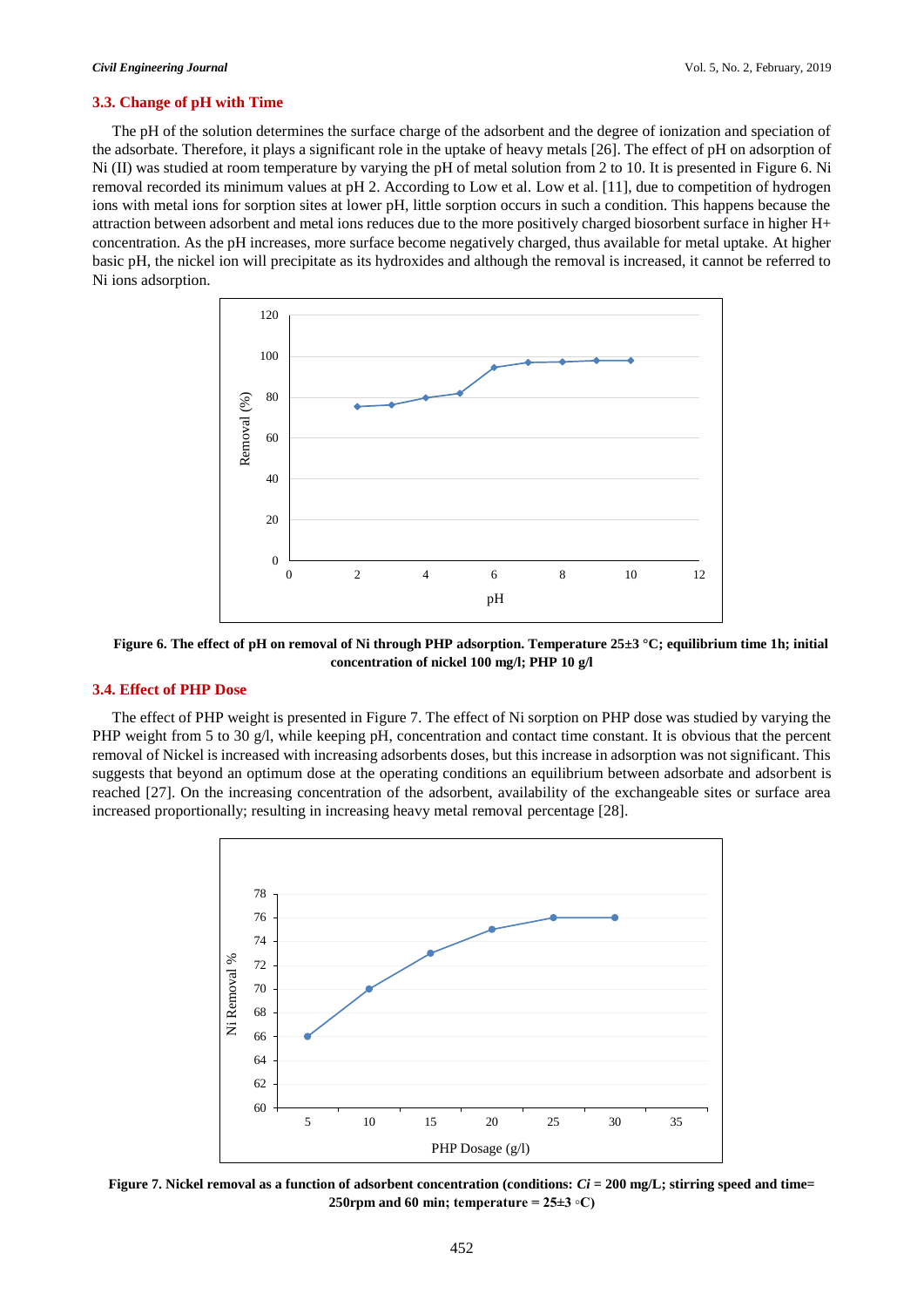#### **3.3. Change of pH with Time**

The pH of the solution determines the surface charge of the adsorbent and the degree of ionization and speciation of the adsorbate. Therefore, it plays a significant role in the uptake of heavy metals [26]. The effect of pH on adsorption of Ni (II) was studied at room temperature by varying the pH of metal solution from 2 to 10. It is presented in Figure 6. Ni removal recorded its minimum values at pH 2. According to Low et al. Low et al. [11], due to competition of hydrogen ions with metal ions for sorption sites at lower pH, little sorption occurs in such a condition. This happens because the attraction between adsorbent and metal ions reduces due to the more positively charged biosorbent surface in higher H+ concentration. As the pH increases, more surface become negatively charged, thus available for metal uptake. At higher basic pH, the nickel ion will precipitate as its hydroxides and although the removal is increased, it cannot be referred to Ni ions adsorption.



**Figure 6. The effect of pH on removal of Ni through PHP adsorption. Temperature 25±3 °C; equilibrium time 1h; initial concentration of nickel 100 mg/l; PHP 10 g/l**

# **3.4. Effect of PHP Dose**

The effect of PHP weight is presented in Figure 7. The effect of Ni sorption on PHP dose was studied by varying the PHP weight from 5 to 30 g/l, while keeping pH, concentration and contact time constant. It is obvious that the percent removal of Nickel is increased with increasing adsorbents doses, but this increase in adsorption was not significant. This suggests that beyond an optimum dose at the operating conditions an equilibrium between adsorbate and adsorbent is reached [27]. On the increasing concentration of the adsorbent, availability of the exchangeable sites or surface area increased proportionally; resulting in increasing heavy metal removal percentage [28].



**Figure 7. Nickel removal as a function of adsorbent concentration (conditions:** *Ci* **= 200 mg/L; stirring speed and time= 250rpm and 60 min; temperature = 25±3 ◦C)**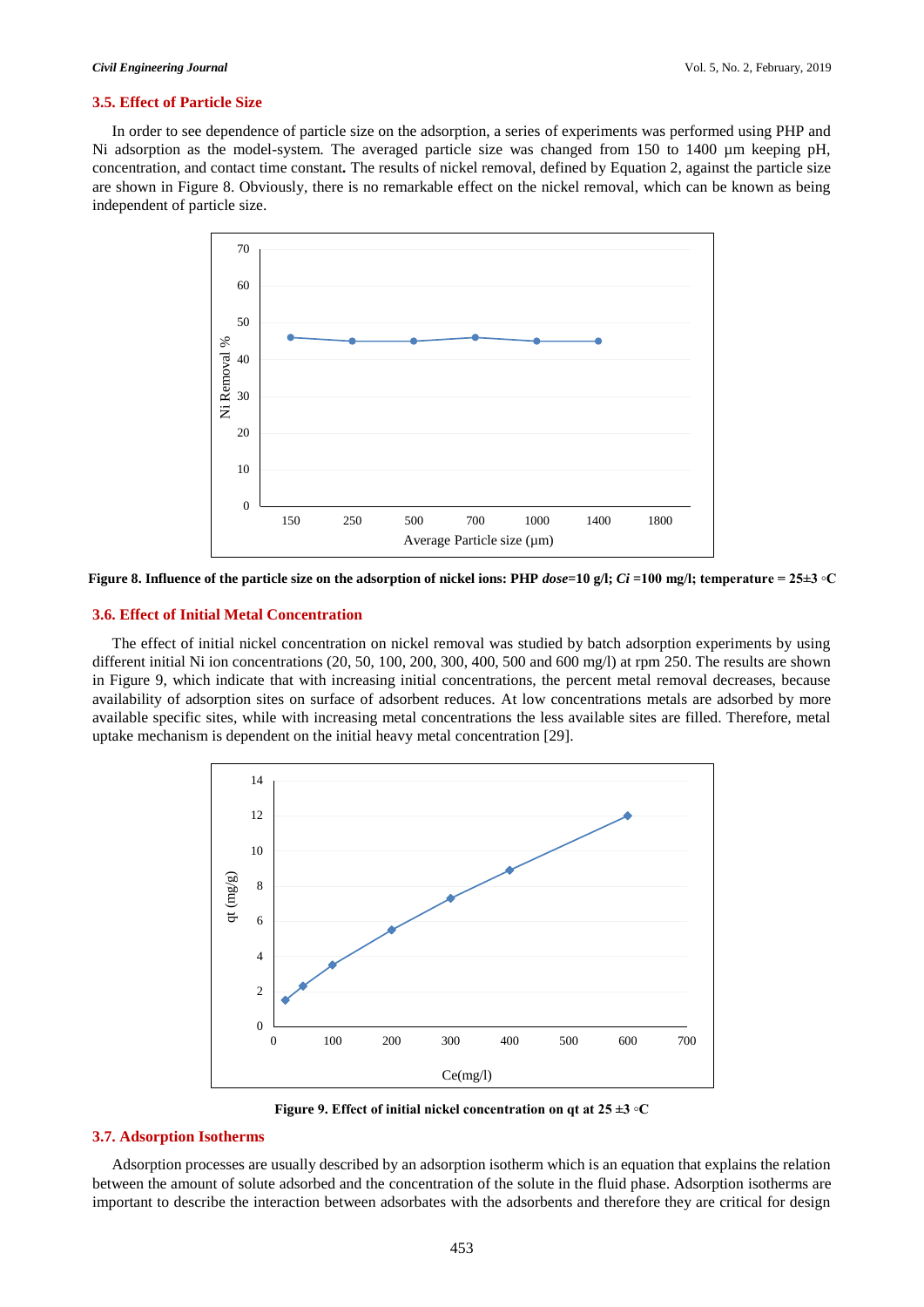#### **3.5. Effect of Particle Size**

In order to see dependence of particle size on the adsorption, a series of experiments was performed using PHP and Ni adsorption as the model-system. The averaged particle size was changed from 150 to 1400 µm keeping pH, concentration, and contact time constant*.* The results of nickel removal, defined by Equation 2, against the particle size are shown in Figure 8. Obviously, there is no remarkable effect on the nickel removal, which can be known as being independent of particle size.



**Figure 8. Influence of the particle size on the adsorption of nickel ions: PHP** *dose***=10 g/l;** *Ci* **=100 mg/l; temperature = 25±3 ◦C**

#### **3.6. Effect of Initial Metal Concentration**

The effect of initial nickel concentration on nickel removal was studied by batch adsorption experiments by using different initial Ni ion concentrations  $(20, 50, 100, 200, 300, 400, 500, 400, 500)$  and  $(600 \text{ mg/l})$  at rpm 250. The results are shown in Figure 9, which indicate that with increasing initial concentrations, the percent metal removal decreases, because availability of adsorption sites on surface of adsorbent reduces. At low concentrations metals are adsorbed by more available specific sites, while with increasing metal concentrations the less available sites are filled. Therefore, metal uptake mechanism is dependent on the initial heavy metal concentration [29].



**Figure 9. Effect of initial nickel concentration on qt at 25 ±3 ◦C**

#### **3.7. Adsorption Isotherms**

Adsorption processes are usually described by an adsorption isotherm which is an equation that explains the relation between the amount of solute adsorbed and the concentration of the solute in the fluid phase. Adsorption isotherms are important to describe the interaction between adsorbates with the adsorbents and therefore they are critical for design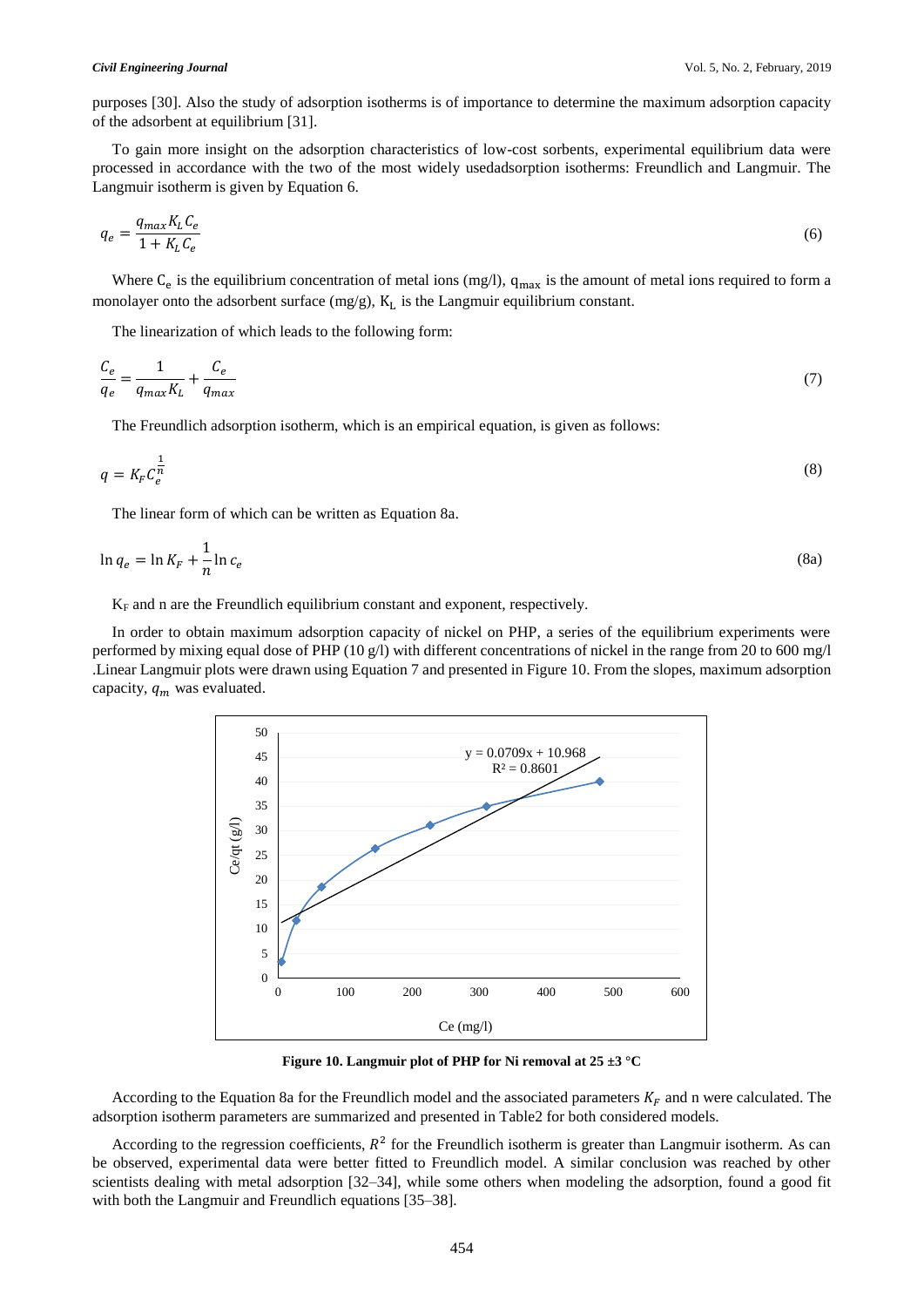purposes [30]. Also the study of adsorption isotherms is of importance to determine the maximum adsorption capacity of the adsorbent at equilibrium [31].

To gain more insight on the adsorption characteristics of low-cost sorbents, experimental equilibrium data were processed in accordance with the two of the most widely usedadsorption isotherms: Freundlich and Langmuir. The Langmuir isotherm is given by Equation 6.

$$
q_e = \frac{q_{max} K_L C_e}{1 + K_L C_e} \tag{6}
$$

Where  $C_e$  is the equilibrium concentration of metal ions (mg/l),  $q_{max}$  is the amount of metal ions required to form a monolayer onto the adsorbent surface  $(mg/g)$ ,  $K<sub>L</sub>$  is the Langmuir equilibrium constant.

The linearization of which leads to the following form:

$$
\frac{C_e}{q_e} = \frac{1}{q_{max}K_L} + \frac{C_e}{q_{max}}\tag{7}
$$

The Freundlich adsorption isotherm, which is an empirical equation, is given as follows:

$$
q = K_F C_e^{\frac{1}{n}} \tag{8}
$$

The linear form of which can be written as Equation 8a.

$$
\ln q_e = \ln K_F + \frac{1}{n} \ln c_e \tag{8a}
$$

 $K_F$  and n are the Freundlich equilibrium constant and exponent, respectively.

In order to obtain maximum adsorption capacity of nickel on PHP, a series of the equilibrium experiments were performed by mixing equal dose of PHP (10 g/l) with different concentrations of nickel in the range from 20 to 600 mg/l .Linear Langmuir plots were drawn using Equation 7 and presented in Figure 10. From the slopes, maximum adsorption capacity,  $q_m$  was evaluated.



**Figure 10. Langmuir plot of PHP for Ni removal at 25 ±3 °C**

According to the Equation 8a for the Freundlich model and the associated parameters  $K_F$  and n were calculated. The adsorption isotherm parameters are summarized and presented in Table2 for both considered models.

According to the regression coefficients,  $R^2$  for the Freundlich isotherm is greater than Langmuir isotherm. As can be observed, experimental data were better fitted to Freundlich model. A similar conclusion was reached by other scientists dealing with metal adsorption [32–34], while some others when modeling the adsorption, found a good fit with both the Langmuir and Freundlich equations [35–38].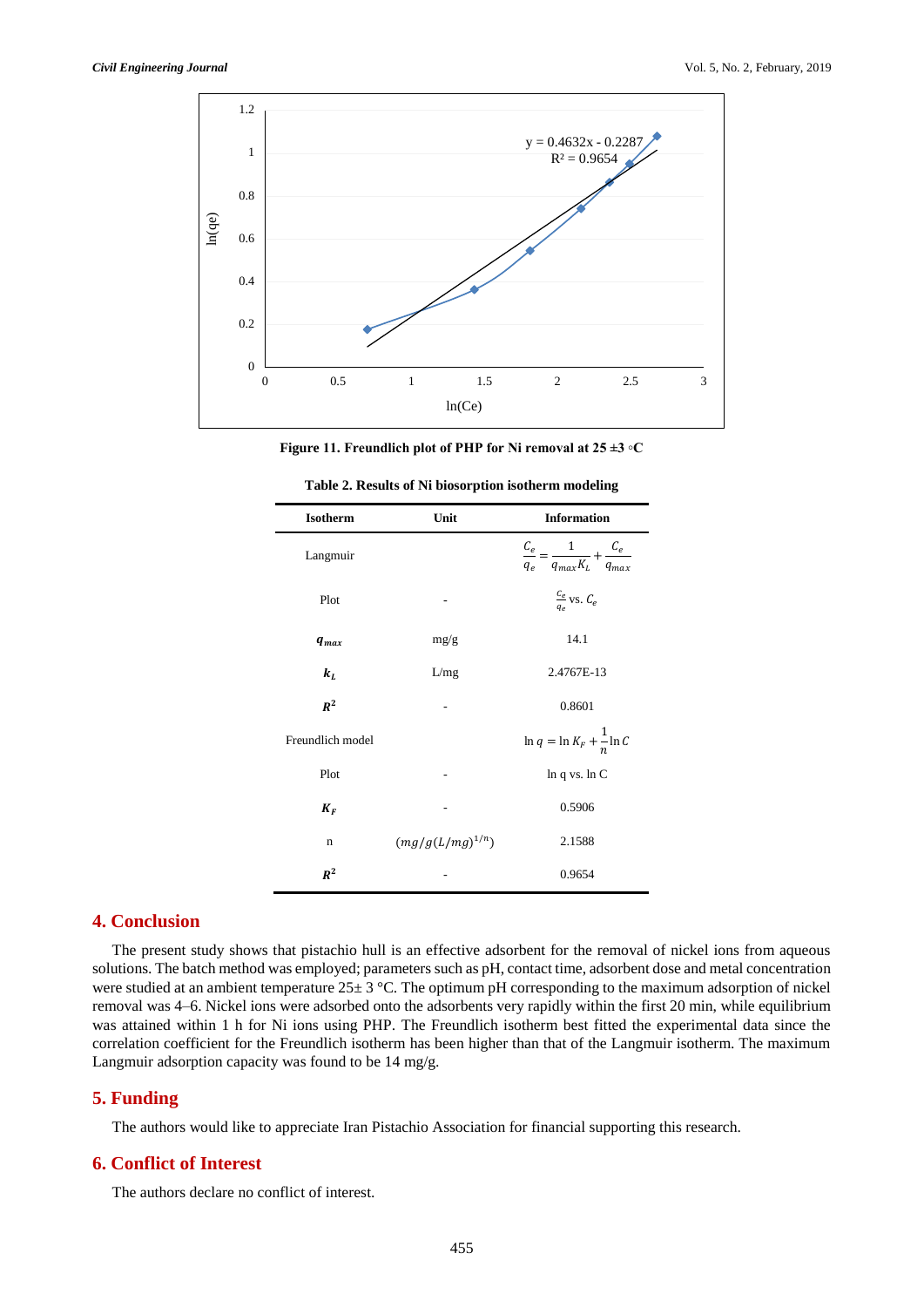

**Figure 11. Freundlich plot of PHP for Ni removal at 25 ±3 ◦C**

| Isotherm         | Unit                 | <b>Information</b>                                             |
|------------------|----------------------|----------------------------------------------------------------|
| Langmuir         |                      | $\frac{C_e}{q_e} = \frac{1}{q_{max}K_L} + \frac{C_e}{q_{max}}$ |
| Plot             |                      | $\frac{c_e}{q_e}$ vs. $C_e$                                    |
| $q_{max}$        | mg/g                 | 14.1                                                           |
| $k_L$            | L/mg                 | 2.4767E-13                                                     |
| $R^2$            |                      | 0.8601                                                         |
| Freundlich model |                      | $\ln q = \ln K_F + \frac{1}{n} \ln C$                          |
| Plot             |                      | $ln q$ vs. $ln C$                                              |
| $K_F$            |                      | 0.5906                                                         |
| $\mathbf n$      | $(mg/g(L/mg)^{1/n})$ | 2.1588                                                         |
| $R^2$            |                      | 0.9654                                                         |

| Table 2. Results of Ni biosorption isotherm modeling |  |
|------------------------------------------------------|--|
|------------------------------------------------------|--|

# **4. Conclusion**

The present study shows that pistachio hull is an effective adsorbent for the removal of nickel ions from aqueous solutions. The batch method was employed; parameters such as pH, contact time, adsorbent dose and metal concentration were studied at an ambient temperature  $25 \pm 3$  °C. The optimum pH corresponding to the maximum adsorption of nickel removal was 4–6. Nickel ions were adsorbed onto the adsorbents very rapidly within the first 20 min, while equilibrium was attained within 1 h for Ni ions using PHP. The Freundlich isotherm best fitted the experimental data since the correlation coefficient for the Freundlich isotherm has been higher than that of the Langmuir isotherm. The maximum Langmuir adsorption capacity was found to be 14 mg/g.

# **5. Funding**

The authors would like to appreciate Iran Pistachio Association for financial supporting this research.

# **6. Conflict of Interest**

The authors declare no conflict of interest.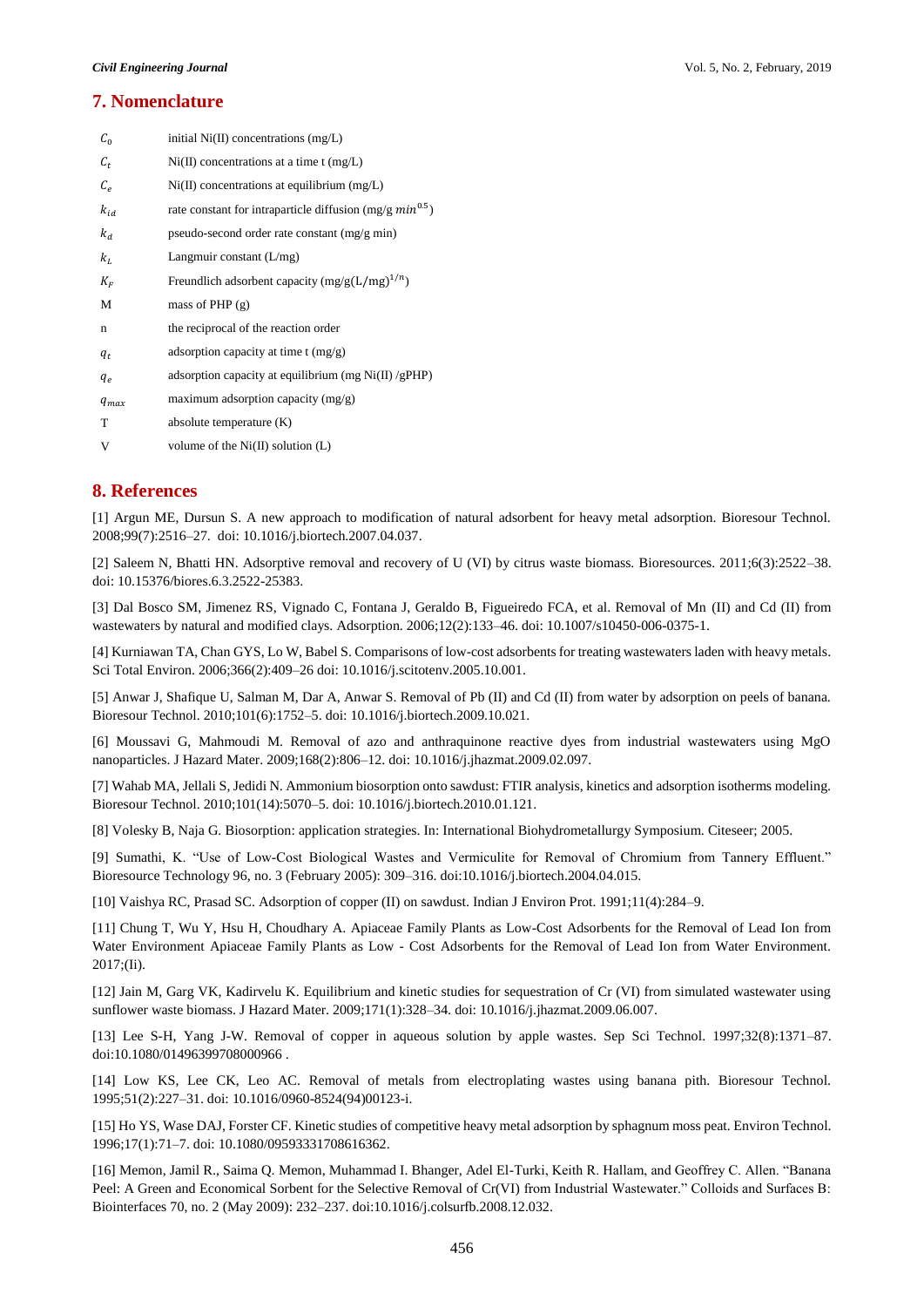# **7. Nomenclature**

| $C_0$     | initial $Ni(II)$ concentrations $(mg/L)$                     |
|-----------|--------------------------------------------------------------|
| $c_t$     | $Ni(II)$ concentrations at a time t (mg/L)                   |
| $C_e$     | $Ni(II)$ concentrations at equilibrium (mg/L)                |
| $k_{id}$  | rate constant for intraparticle diffusion $(mg/g min^{0.5})$ |
| $k_d$     | pseudo-second order rate constant (mg/g min)                 |
| $k_L$     | Langmuir constant $(L/mg)$                                   |
| $K_F$     | Freundlich adsorbent capacity $(mg/g(L/mg)^{1/n})$           |
| М         | mass of PHP $(g)$                                            |
| n         | the reciprocal of the reaction order                         |
| $q_t$     | adsorption capacity at time $t$ (mg/g)                       |
| $q_e$     | adsorption capacity at equilibrium (mg $Ni(II)/gPHP$ )       |
| $q_{max}$ | maximum adsorption capacity $(mg/g)$                         |
| T         | absolute temperature (K)                                     |
| V         | volume of the $Ni(II)$ solution $(L)$                        |

# **8. References**

[1] Argun ME, Dursun S. A new approach to modification of natural adsorbent for heavy metal adsorption. Bioresour Technol. 2008;99(7):2516–27. doi: 10.1016/j.biortech.2007.04.037.

[2] Saleem N, Bhatti HN. Adsorptive removal and recovery of U (VI) by citrus waste biomass. Bioresources. 2011;6(3):2522–38. doi: 10.15376/biores.6.3.2522-25383.

[3] Dal Bosco SM, Jimenez RS, Vignado C, Fontana J, Geraldo B, Figueiredo FCA, et al. Removal of Mn (II) and Cd (II) from wastewaters by natural and modified clays. Adsorption. 2006;12(2):133–46. doi: 10.1007/s10450-006-0375-1.

[4] Kurniawan TA, Chan GYS, Lo W, Babel S. Comparisons of low-cost adsorbents for treating wastewaters laden with heavy metals. Sci Total Environ. 2006;366(2):409–26 doi: 10.1016/j.scitotenv.2005.10.001.

[5] Anwar J, Shafique U, Salman M, Dar A, Anwar S. Removal of Pb (II) and Cd (II) from water by adsorption on peels of banana. Bioresour Technol. 2010;101(6):1752–5. doi: 10.1016/j.biortech.2009.10.021.

[6] Moussavi G, Mahmoudi M. Removal of azo and anthraquinone reactive dyes from industrial wastewaters using MgO nanoparticles. J Hazard Mater. 2009;168(2):806–12. doi: 10.1016/j.jhazmat.2009.02.097.

[7] Wahab MA, Jellali S, Jedidi N. Ammonium biosorption onto sawdust: FTIR analysis, kinetics and adsorption isotherms modeling. Bioresour Technol. 2010;101(14):5070–5. doi: 10.1016/j.biortech.2010.01.121.

[8] Volesky B, Naja G. Biosorption: application strategies. In: International Biohydrometallurgy Symposium. Citeseer; 2005.

[9] Sumathi, K. "Use of Low-Cost Biological Wastes and Vermiculite for Removal of Chromium from Tannery Effluent." Bioresource Technology 96, no. 3 (February 2005): 309–316. doi:10.1016/j.biortech.2004.04.015.

[10] Vaishya RC, Prasad SC. Adsorption of copper (II) on sawdust. Indian J Environ Prot. 1991;11(4):284–9.

[11] Chung T, Wu Y, Hsu H, Choudhary A. Apiaceae Family Plants as Low-Cost Adsorbents for the Removal of Lead Ion from Water Environment Apiaceae Family Plants as Low - Cost Adsorbents for the Removal of Lead Ion from Water Environment. 2017;(Ii).

[12] Jain M, Garg VK, Kadirvelu K. Equilibrium and kinetic studies for sequestration of Cr (VI) from simulated wastewater using sunflower waste biomass. J Hazard Mater. 2009;171(1):328–34. doi: 10.1016/j.jhazmat.2009.06.007.

[13] Lee S-H, Yang J-W. Removal of copper in aqueous solution by apple wastes. Sep Sci Technol. 1997;32(8):1371–87. doi:10.1080/01496399708000966 .

[14] Low KS, Lee CK, Leo AC. Removal of metals from electroplating wastes using banana pith. Bioresour Technol. 1995;51(2):227–31. doi: 10.1016/0960-8524(94)00123-i.

[15] Ho YS, Wase DAJ, Forster CF. Kinetic studies of competitive heavy metal adsorption by sphagnum moss peat. Environ Technol. 1996;17(1):71–7. doi: 10.1080/09593331708616362.

[16] Memon, Jamil R., Saima Q. Memon, Muhammad I. Bhanger, Adel El-Turki, Keith R. Hallam, and Geoffrey C. Allen. "Banana Peel: A Green and Economical Sorbent for the Selective Removal of Cr(VI) from Industrial Wastewater." Colloids and Surfaces B: Biointerfaces 70, no. 2 (May 2009): 232–237. doi:10.1016/j.colsurfb.2008.12.032.